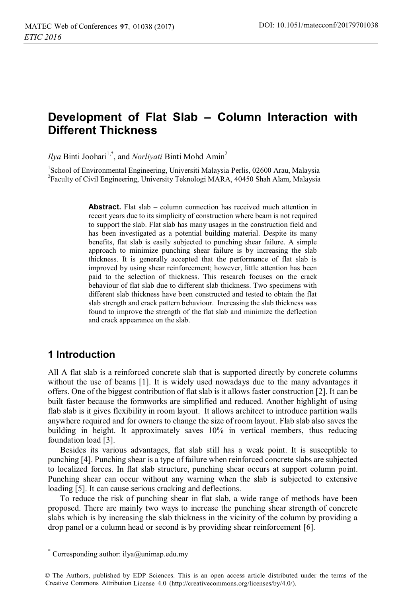# **Development of Flat Slab – Column Interaction with Different Thickness**

*Ilya* Binti Joohari<sup>1,\*</sup>, and *Norliyati* Binti Mohd Amin<sup>2</sup>

<sup>1</sup>School of Environmental Engineering, Universiti Malaysia Perlis, 02600 Arau, Malaysia 2 Faculty of Civil Engineering, University Teknologi MARA, 40450 Shah Alam, Malaysia

> **Abstract.** Flat slab – column connection has received much attention in recent years due to its simplicity of construction where beam is not required to support the slab. Flat slab has many usages in the construction field and has been investigated as a potential building material. Despite its many benefits, flat slab is easily subjected to punching shear failure. A simple approach to minimize punching shear failure is by increasing the slab thickness. It is generally accepted that the performance of flat slab is improved by using shear reinforcement; however, little attention has been paid to the selection of thickness. This research focuses on the crack behaviour of flat slab due to different slab thickness. Two specimens with different slab thickness have been constructed and tested to obtain the flat slab strength and crack pattern behaviour. Increasing the slab thickness was found to improve the strength of the flat slab and minimize the deflection and crack appearance on the slab.

### **1 Introduction**

 $\overline{a}$ 

All A flat slab is a reinforced concrete slab that is supported directly by concrete columns without the use of beams [1]. It is widely used nowadays due to the many advantages it offers. One of the biggest contribution of flat slab is it allows faster construction [2]. It can be built faster because the formworks are simplified and reduced. Another highlight of using flab slab is it gives flexibility in room layout. It allows architect to introduce partition walls anywhere required and for owners to change the size of room layout. Flab slab also saves the building in height. It approximately saves 10% in vertical members, thus reducing foundation load [3].

Besides its various advantages, flat slab still has a weak point. It is susceptible to punching [4]. Punching shear is a type of failure when reinforced concrete slabs are subjected to localized forces. In flat slab structure, punching shear occurs at support column point. Punching shear can occur without any warning when the slab is subjected to extensive loading [5]. It can cause serious cracking and deflections.

To reduce the risk of punching shear in flat slab, a wide range of methods have been proposed. There are mainly two ways to increase the punching shear strength of concrete slabs which is by increasing the slab thickness in the vicinity of the column by providing a drop panel or a column head or second is by providing shear reinforcement [6].

Corresponding author:  $ilya@unimap.edu.my$ 

<sup>©</sup> The Authors, published by EDP Sciences. This is an open access article distributed under the terms of the Creative Commons Attribution License 4.0 (http://creativecommons.org/licenses/by/4.0/).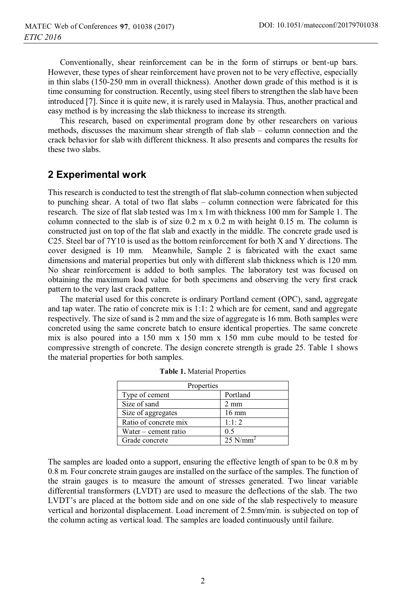Conventionally, shear reinforcement can be in the form of stirrups or bent-up bars. However, these types of shear reinforcement have proven not to be very effective, especially in thin slabs (150-250 mm in overall thickness). Another down grade of this method is it is time consuming for construction. Recently, using steel fibers to strengthen the slab have been introduced [7]. Since it is quite new, it is rarely used in Malaysia. Thus, another practical and easy method is by increasing the slab thickness to increase its strength.

This research, based on experimental program done by other researchers on various methods, discusses the maximum shear strength of flab slab – column connection and the crack behavior for slab with different thickness. It also presents and compares the results for these two slabs.

### **2 Experimental work**

This research is conducted to test the strength of flat slab-column connection when subjected to punching shear. A total of two flat slabs – column connection were fabricated for this research. The size of flat slab tested was 1m x 1m with thickness 100 mm for Sample 1. The column connected to the slab is of size  $0.2 \text{ m} \times 0.2 \text{ m}$  with height 0.15 m. The column is constructed just on top of the flat slab and exactly in the middle. The concrete grade used is C25. Steel bar of 7Y10 is used as the bottom reinforcement for both X and Y directions. The cover designed is 10 mm. Meanwhile, Sample 2 is fabricated with the exact same dimensions and material properties but only with different slab thickness which is 120 mm. No shear reinforcement is added to both samples. The laboratory test was focused on obtaining the maximum load value for both specimens and observing the very first crack pattern to the very last crack pattern.

The material used for this concrete is ordinary Portland cement (OPC), sand, aggregate and tap water. The ratio of concrete mix is 1:1: 2 which are for cement, sand and aggregate respectively. The size of sand is 2 mm and the size of aggregate is 16 mm. Both samples were concreted using the same concrete batch to ensure identical properties. The same concrete mix is also poured into a 150 mm x 150 mm x 150 mm cube mould to be tested for compressive strength of concrete. The design concrete strength is grade 25. Table 1 shows the material properties for both samples.

| Properties            |                        |  |
|-----------------------|------------------------|--|
| Type of cement        | Portland               |  |
| Size of sand          | $2 \text{ mm}$         |  |
| Size of aggregates    | $16 \text{ mm}$        |  |
| Ratio of concrete mix | 1:1:2                  |  |
| Water – cement ratio  | 0.5                    |  |
| Grade concrete        | $25$ N/mm <sup>2</sup> |  |

**Table 1.** Material Properties

The samples are loaded onto a support, ensuring the effective length of span to be 0.8 m by 0.8 m. Four concrete strain gauges are installed on the surface of the samples. The function of the strain gauges is to measure the amount of stresses generated. Two linear variable differential transformers (LVDT) are used to measure the deflections of the slab. The two LVDT's are placed at the bottom side and on one side of the slab respectively to measure vertical and horizontal displacement. Load increment of 2.5mm/min. is subjected on top of the column acting as vertical load. The samples are loaded continuously until failure.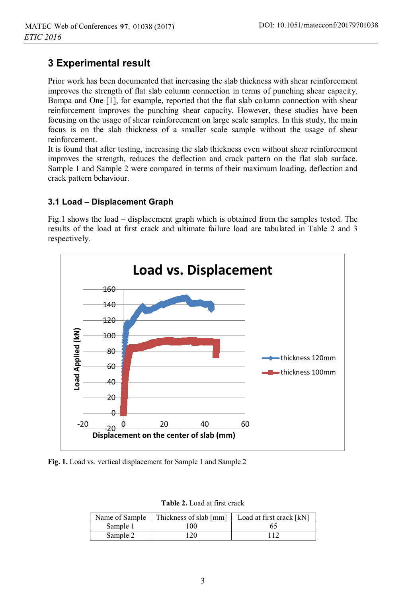## **3 Experimental result**

Prior work has been documented that increasing the slab thickness with shear reinforcement improves the strength of flat slab column connection in terms of punching shear capacity. Bompa and One [1], for example, reported that the flat slab column connection with shear reinforcement improves the punching shear capacity. However, these studies have been focusing on the usage of shear reinforcement on large scale samples. In this study, the main focus is on the slab thickness of a smaller scale sample without the usage of shear reinforcement.

It is found that after testing, increasing the slab thickness even without shear reinforcement improves the strength, reduces the deflection and crack pattern on the flat slab surface. Sample 1 and Sample 2 were compared in terms of their maximum loading, deflection and crack pattern behaviour.

#### **3.1 Load – Displacement Graph**

Fig.1 shows the load – displacement graph which is obtained from the samples tested. The results of the load at first crack and ultimate failure load are tabulated in Table 2 and 3 respectively.



**Fig. 1.** Load vs. vertical displacement for Sample 1 and Sample 2

| <b>Table 2.</b> Load at first crack |  |  |
|-------------------------------------|--|--|
|                                     |  |  |

| Name of Sample | Thickness of slab [mm] | Load at first crack [kN] |
|----------------|------------------------|--------------------------|
| Sample 1       | 100                    |                          |
| Sample 2       | 120                    |                          |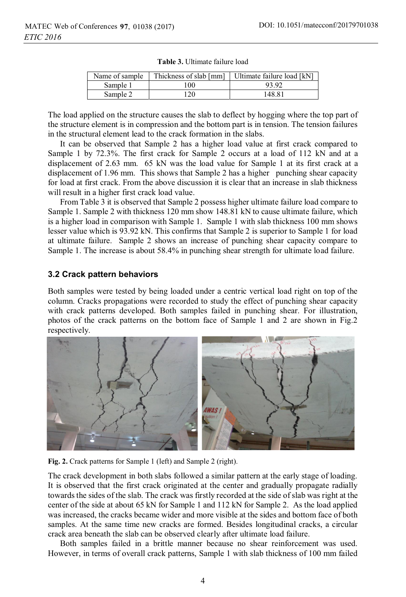| Name of sample |     | Thickness of slab [mm]   Ultimate failure load [kN] |
|----------------|-----|-----------------------------------------------------|
| Sample 1       | 100 | 93.92                                               |
| Sample 2       | 120 | 148.81                                              |

**Table 3.** Ultimate failure load

The load applied on the structure causes the slab to deflect by hogging where the top part of the structure element is in compression and the bottom part is in tension. The tension failures in the structural element lead to the crack formation in the slabs.

It can be observed that Sample 2 has a higher load value at first crack compared to Sample 1 by 72.3%. The first crack for Sample 2 occurs at a load of 112 kN and at a displacement of 2.63 mm. 65 kN was the load value for Sample 1 at its first crack at a displacement of 1.96 mm. This shows that Sample 2 has a higher punching shear capacity for load at first crack. From the above discussion it is clear that an increase in slab thickness will result in a higher first crack load value.

From Table 3 it is observed that Sample 2 possess higher ultimate failure load compare to Sample 1. Sample 2 with thickness 120 mm show 148.81 kN to cause ultimate failure, which is a higher load in comparison with Sample 1. Sample 1 with slab thickness 100 mm shows lesser value which is 93.92 kN. This confirms that Sample 2 is superior to Sample 1 for load at ultimate failure. Sample 2 shows an increase of punching shear capacity compare to Sample 1. The increase is about 58.4% in punching shear strength for ultimate load failure.

#### **3.2 Crack pattern behaviors**

Both samples were tested by being loaded under a centric vertical load right on top of the column. Cracks propagations were recorded to study the effect of punching shear capacity with crack patterns developed. Both samples failed in punching shear. For illustration, photos of the crack patterns on the bottom face of Sample 1 and 2 are shown in Fig.2 respectively.



**Fig. 2.** Crack patterns for Sample 1 (left) and Sample 2 (right).

The crack development in both slabs followed a similar pattern at the early stage of loading. It is observed that the first crack originated at the center and gradually propagate radially towards the sides of the slab. The crack was firstly recorded at the side of slab was right at the center of the side at about 65 kN for Sample 1 and 112 kN for Sample 2. As the load applied was increased, the cracks became wider and more visible at the sides and bottom face of both samples. At the same time new cracks are formed. Besides longitudinal cracks, a circular crack area beneath the slab can be observed clearly after ultimate load failure.

Both samples failed in a brittle manner because no shear reinforcement was used. However, in terms of overall crack patterns, Sample 1 with slab thickness of 100 mm failed